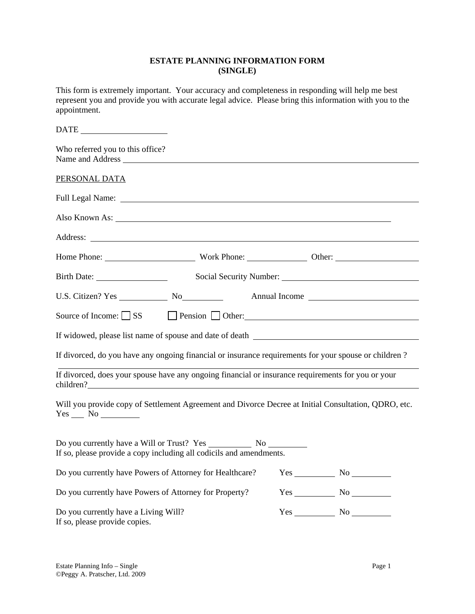### **ESTATE PLANNING INFORMATION FORM (SINGLE)**

This form is extremely important. Your accuracy and completeness in responding will help me best represent you and provide you with accurate legal advice. Please bring this information with you to the appointment.

| Who referred you to this office?<br>Name and Address                  |                                                                                                                                                                                                                                      |                                           |
|-----------------------------------------------------------------------|--------------------------------------------------------------------------------------------------------------------------------------------------------------------------------------------------------------------------------------|-------------------------------------------|
| PERSONAL DATA                                                         |                                                                                                                                                                                                                                      |                                           |
|                                                                       | Full Legal Name:                                                                                                                                                                                                                     |                                           |
|                                                                       | Also Known As: Now a Second Second Second Second Second Second Second Second Second Second Second Second Second Second Second Second Second Second Second Second Second Second Second Second Second Second Second Second Secon       |                                           |
|                                                                       | Address: <u>the contract of the contract of the contract of the contract of the contract of the contract of the contract of the contract of the contract of the contract of the contract of the contract of the contract of the </u> |                                           |
|                                                                       |                                                                                                                                                                                                                                      |                                           |
|                                                                       |                                                                                                                                                                                                                                      |                                           |
|                                                                       |                                                                                                                                                                                                                                      |                                           |
|                                                                       | Source of Income: $\Box$ SS $\Box$ Pension $\Box$ Other: $\Box$                                                                                                                                                                      |                                           |
|                                                                       | If widowed, please list name of spouse and date of death ________________________                                                                                                                                                    |                                           |
|                                                                       | If divorced, do you have any ongoing financial or insurance requirements for your spouse or children?                                                                                                                                |                                           |
| children?                                                             | If divorced, does your spouse have any ongoing financial or insurance requirements for you or your                                                                                                                                   |                                           |
| $Yes$ No $\_\_$                                                       | Will you provide copy of Settlement Agreement and Divorce Decree at Initial Consultation, QDRO, etc.                                                                                                                                 |                                           |
|                                                                       | If so, please provide a copy including all codicils and amendments.                                                                                                                                                                  |                                           |
|                                                                       | Do you currently have Powers of Attorney for Healthcare?                                                                                                                                                                             |                                           |
| Do you currently have Powers of Attorney for Property?                |                                                                                                                                                                                                                                      | $Yes$ No $\_\_\_\_\_\$ No $\_\_\_\_\_\_\$ |
| Do you currently have a Living Will?<br>If so, please provide copies. |                                                                                                                                                                                                                                      | $Yes$ No $\_\_\_\_\$ No $\_\_\_\_\_\_\$   |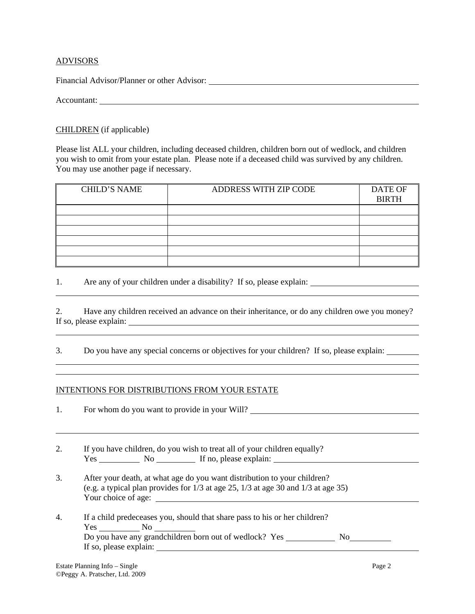### ADVISORS

Financial Advisor/Planner or other Advisor:

Accountant:

l

l

l

 $\overline{a}$ 

## CHILDREN (if applicable)

Please list ALL your children, including deceased children, children born out of wedlock, and children you wish to omit from your estate plan. Please note if a deceased child was survived by any children. You may use another page if necessary.

| <b>CHILD'S NAME</b> | ADDRESS WITH ZIP CODE | <b>DATE OF</b><br><b>BIRTH</b> |
|---------------------|-----------------------|--------------------------------|
|                     |                       |                                |
|                     |                       |                                |
|                     |                       |                                |
|                     |                       |                                |
|                     |                       |                                |
|                     |                       |                                |

1. Are any of your children under a disability? If so, please explain:

2. Have any children received an advance on their inheritance, or do any children owe you money? If so, please explain:

3. Do you have any special concerns or objectives for your children? If so, please explain:

# INTENTIONS FOR DISTRIBUTIONS FROM YOUR ESTATE

1. For whom do you want to provide in your Will?

- 2. If you have children, do you wish to treat all of your children equally?  $Yes$  No  $\overline{\hspace{1cm}}$  No  $\overline{\hspace{1cm}}$  If no, please explain:
- 3. After your death, at what age do you want distribution to your children? (e.g. a typical plan provides for 1/3 at age 25, 1/3 at age 30 and 1/3 at age 35) Your choice of age:
- 4. If a child predeceases you, should that share pass to his or her children? Yes No Do you have any grandchildren born out of wedlock? Yes No If so, please explain: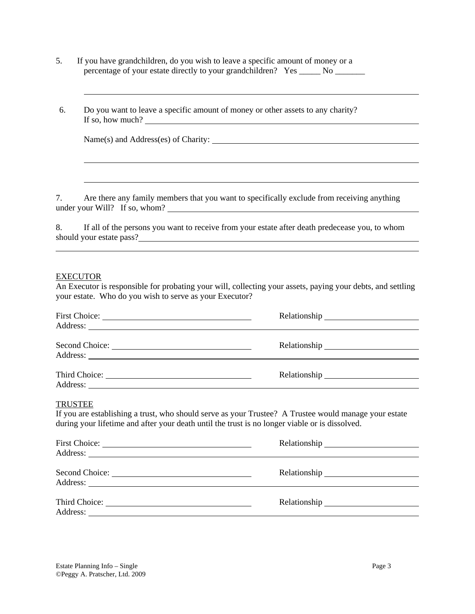- 5. If you have grandchildren, do you wish to leave a specific amount of money or a percentage of your estate directly to your grandchildren? Yes \_\_\_\_\_\_ No \_\_\_\_\_\_\_\_
- 6. Do you want to leave a specific amount of money or other assets to any charity? If so, how much?

|  | Name(s) and Address(es) of Charity: |  |
|--|-------------------------------------|--|
|  |                                     |  |

7. Are there any family members that you want to specifically exclude from receiving anything under your Will? If so, whom?

8. If all of the persons you want to receive from your estate after death predecease you, to whom should your estate pass?

#### EXECUTOR

l

An Executor is responsible for probating your will, collecting your assets, paying your debts, and settling your estate. Who do you wish to serve as your Executor?

| Second Choice:<br>Address: |  |
|----------------------------|--|
|                            |  |

### TRUSTEE

If you are establishing a trust, who should serve as your Trustee? A Trustee would manage your estate during your lifetime and after your death until the trust is no longer viable or is dissolved.

| Second Choice: |  |
|----------------|--|
|                |  |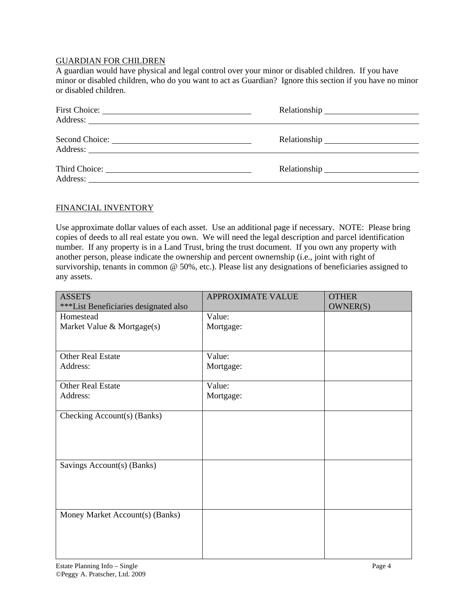### GUARDIAN FOR CHILDREN

A guardian would have physical and legal control over your minor or disabled children. If you have minor or disabled children, who do you want to act as Guardian? Ignore this section if you have no minor or disabled children.

## FINANCIAL INVENTORY

Use approximate dollar values of each asset. Use an additional page if necessary. NOTE: Please bring copies of deeds to all real estate you own. We will need the legal description and parcel identification number. If any property is in a Land Trust, bring the trust document. If you own any property with another person, please indicate the ownership and percent ownernship (i.e., joint with right of survivorship, tenants in common @ 50%, etc.). Please list any designations of beneficiaries assigned to any assets.

| <b>ASSETS</b>                         | <b>APPROXIMATE VALUE</b> | <b>OTHER</b> |
|---------------------------------------|--------------------------|--------------|
| ***List Beneficiaries designated also |                          | OWNER(S)     |
| Homestead                             | Value:                   |              |
| Market Value & Mortgage(s)            | Mortgage:                |              |
|                                       |                          |              |
|                                       |                          |              |
| <b>Other Real Estate</b>              | Value:                   |              |
| Address:                              | Mortgage:                |              |
|                                       |                          |              |
| <b>Other Real Estate</b>              | Value:                   |              |
| Address:                              | Mortgage:                |              |
|                                       |                          |              |
| Checking Account(s) (Banks)           |                          |              |
|                                       |                          |              |
|                                       |                          |              |
|                                       |                          |              |
| Savings Account(s) (Banks)            |                          |              |
|                                       |                          |              |
|                                       |                          |              |
|                                       |                          |              |
|                                       |                          |              |
| Money Market Account(s) (Banks)       |                          |              |
|                                       |                          |              |
|                                       |                          |              |
|                                       |                          |              |
|                                       |                          |              |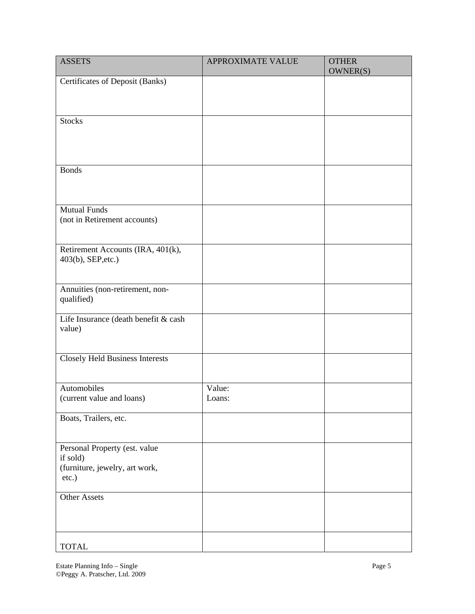| <b>ASSETS</b>                                       | <b>APPROXIMATE VALUE</b> | <b>OTHER</b><br>OWNER(S) |
|-----------------------------------------------------|--------------------------|--------------------------|
| Certificates of Deposit (Banks)                     |                          |                          |
|                                                     |                          |                          |
|                                                     |                          |                          |
| <b>Stocks</b>                                       |                          |                          |
|                                                     |                          |                          |
|                                                     |                          |                          |
| <b>Bonds</b>                                        |                          |                          |
|                                                     |                          |                          |
|                                                     |                          |                          |
| <b>Mutual Funds</b><br>(not in Retirement accounts) |                          |                          |
|                                                     |                          |                          |
| Retirement Accounts (IRA, 401(k),                   |                          |                          |
| 403(b), SEP, etc.)                                  |                          |                          |
|                                                     |                          |                          |
| Annuities (non-retirement, non-                     |                          |                          |
| qualified)                                          |                          |                          |
| Life Insurance (death benefit & cash                |                          |                          |
| value)                                              |                          |                          |
|                                                     |                          |                          |
| <b>Closely Held Business Interests</b>              |                          |                          |
| Automobiles                                         | Value:                   |                          |
| (current value and loans)                           | Loans:                   |                          |
| Boats, Trailers, etc.                               |                          |                          |
|                                                     |                          |                          |
| Personal Property (est. value                       |                          |                          |
| if sold)                                            |                          |                          |
| (furniture, jewelry, art work,                      |                          |                          |
| $etc.$ )                                            |                          |                          |
| <b>Other Assets</b>                                 |                          |                          |
|                                                     |                          |                          |
|                                                     |                          |                          |
| <b>TOTAL</b>                                        |                          |                          |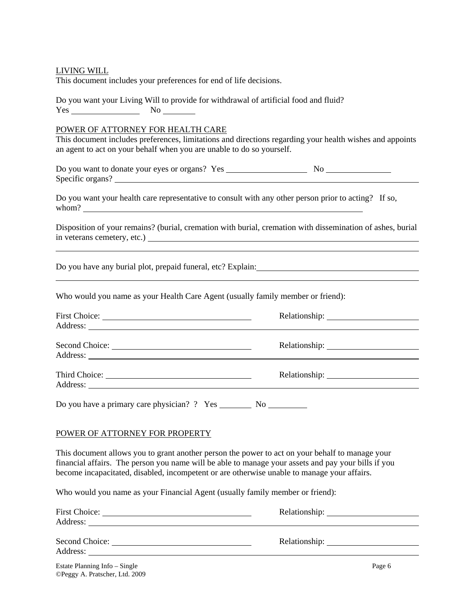| LIVING WILL<br>This document includes your preferences for end of life decisions.                                                                                                                                                                                                                     |                                                                                                            |
|-------------------------------------------------------------------------------------------------------------------------------------------------------------------------------------------------------------------------------------------------------------------------------------------------------|------------------------------------------------------------------------------------------------------------|
| Do you want your Living Will to provide for withdrawal of artificial food and fluid?                                                                                                                                                                                                                  |                                                                                                            |
| POWER OF ATTORNEY FOR HEALTH CARE<br>an agent to act on your behalf when you are unable to do so yourself.                                                                                                                                                                                            | This document includes preferences, limitations and directions regarding your health wishes and appoints   |
| Specific organs?                                                                                                                                                                                                                                                                                      |                                                                                                            |
| Do you want your health care representative to consult with any other person prior to acting? If so,                                                                                                                                                                                                  |                                                                                                            |
|                                                                                                                                                                                                                                                                                                       | Disposition of your remains? (burial, cremation with burial, cremation with dissemination of ashes, burial |
| <u> 1989 - Johann Barn, mars ann an t-Amhain ann an t-Amhain ann an t-Amhain ann an t-Amhain an t-Amhain ann an t-</u>                                                                                                                                                                                |                                                                                                            |
| Who would you name as your Health Care Agent (usually family member or friend):                                                                                                                                                                                                                       |                                                                                                            |
| Address: <u>Quarterial and the contract of the contract of the contract of the contract of the contract of the contract of the contract of the contract of the contract of the contract of the contract of the contract of the c</u>                                                                  |                                                                                                            |
| Second Choice:                                                                                                                                                                                                                                                                                        |                                                                                                            |
|                                                                                                                                                                                                                                                                                                       |                                                                                                            |
|                                                                                                                                                                                                                                                                                                       |                                                                                                            |
| POWER OF ATTORNEY FOR PROPERTY                                                                                                                                                                                                                                                                        |                                                                                                            |
| This document allows you to grant another person the power to act on your behalf to manage your<br>financial affairs. The person you name will be able to manage your assets and pay your bills if you<br>become incapacitated, disabled, incompetent or are otherwise unable to manage your affairs. |                                                                                                            |

Who would you name as your Financial Agent (usually family member or friend):

| <b>First Choice:</b><br>Address: |        |  |
|----------------------------------|--------|--|
| Second Choice:<br>Address:       |        |  |
| Estate Planning Info – Single    | Page 6 |  |

©Peggy A. Pratscher, Ltd. 2009